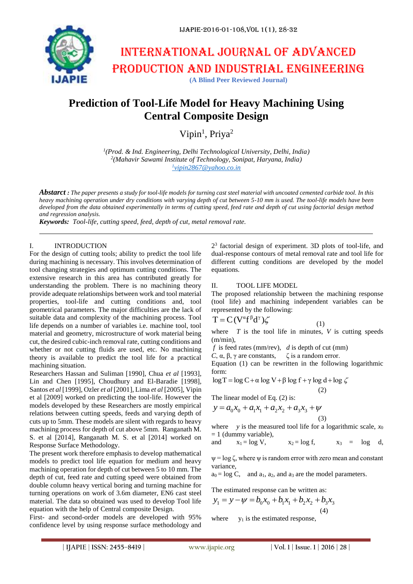

# International journal of advanced production and industrial engineering **(A Blind Peer Reviewed Journal)**

# **Prediction of Tool-Life Model for Heavy Machining Using Central Composite Design**

Vipin<sup>1</sup>, Priya<sup>2</sup>

*1 (Prod. & Ind. Engineering, Delhi Technological University, Delhi, India) 2 (Mahavir Sawami Institute of Technology, Sonipat, Haryana, India) 1 [vipin2867@yahoo.co.in](mailto:1vipin2867@yahoo.co.in)*

*Abstarct : The paper presents a study for tool-life models for turning cast steel material with uncoated cemented carbide tool. In this heavy machining operation under dry conditions with varying depth of cut between 5-10 mm is used. The tool-life models have been developed from the data obtained experimentally in terms of cutting speed, feed rate and depth of cut using factorial design method and regression analysis.*

*Keywords: Tool-life, cutting speed, feed, depth of cut, metal removal rate.*

#### I. INTRODUCTION

For the design of cutting tools; ability to predict the tool life during machining is necessary. This involves determination of tool changing strategies and optimum cutting conditions. The extensive research in this area has contributed greatly for understanding the problem. There is no machining theory provide adequate relationships between work and tool material properties, tool-life and cutting conditions and, tool geometrical parameters. The major difficulties are the lack of suitable data and complexity of the machining process. Tool life depends on a number of variables i.e. machine tool, tool material and geometry, microstructure of work material being cut, the desired cubic-inch removal rate, cutting conditions and whether or not cutting fluids are used, etc. No machining theory is available to predict the tool life for a practical machining situation.

Researchers Hassan and Suliman [1990], Chua *et al* [1993], Lin and Chen [1995], Choudhury and El-Baradie [1998], Santos *et al* [1999], Ozler *et al* [2001], Lima *et al* [2005], Vipin et al [2009] worked on predicting the tool-life. However the models developed by these Researchers are mostly empirical relations between cutting speeds, feeds and varying depth of cuts up to 5mm. These models are silent with regards to heavy machining process for depth of cut above 5mm. Ranganath M. S. et al [2014], Ranganath M. S. et al [2014] worked on Response Surface Methodology.

The present work therefore emphasis to develop mathematical models to predict tool life equation for medium and heavy machining operation for depth of cut between 5 to 10 mm. The depth of cut, feed rate and cutting speed were obtained from double column heavy vertical boring and turning machine for turning operations on work of 3.6m diameter, EN6 cast steel material. The data so obtained was used to develop Tool life equation with the help of Central composite Design.

First- and second-order models are developed with 95% confidence level by using response surface methodology and

2 3 factorial design of experiment. 3D plots of tool-life, and dual-response contours of metal removal rate and tool life for different cutting conditions are developed by the model equations.

#### II. TOOL LIFE MODEL

The proposed relationship between the machining response (tool life) and machining independent variables can be represented by the following:

$$
T = C(V^{\alpha}f^{\beta}d^{\gamma})\zeta
$$
 (1)

where  $T$  is the tool life in minutes,  $V$  is cutting speeds  $(m/min)$ .

*f* is feed rates (mm/rev), *d* is depth of cut (mm)

*C*,  $\alpha$ ,  $\beta$ ,  $\gamma$  are constants,  $\zeta$  is a random error.

Equation (1) can be rewritten in the following logarithmic form: log T = log C + α log V + β log f + γ log d + log  $\zeta$ 

$$
\log T = \log C + \alpha \log V + \beta \log f + \gamma \log d + \log \zeta
$$

$$
- (2)
$$

The linear model of Eq. (2) is:

$$
y = a_0 x_0 + a_1 x_1 + a_2 x_2 + a_3 x_3 + \psi
$$
\n(3)

where *y* is the measured tool life for a logarithmic scale,  $x_0$  $= 1$  (dummy variable),

and 
$$
x_1 = \log V
$$
,  $x_2 = \log f$ ,  $x_3 = \log d$ ,

 $\psi = \log \zeta$ , where  $\psi$  is random error with zero mean and constant variance,

 $a_0 = \log C$ , and  $a_1$ ,  $a_2$ , and  $a_3$  are the model parameters.

The estimated response can be written as:

$$
y_1 = y - \psi = b_0 x_0 + b_1 x_1 + b_2 x_2 + b_3 x_3
$$
\n(4)

where  $y_1$  is the estimated response,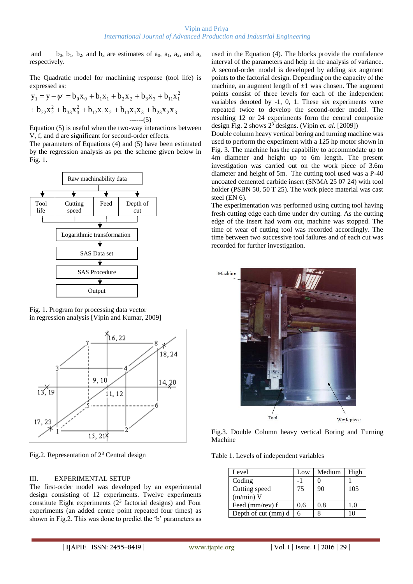and b<sub>0</sub>, b<sub>1</sub>, b<sub>2</sub>, and b<sub>3</sub> are estimates of  $a_0$ ,  $a_1$ ,  $a_2$ , and  $a_3$ respectively.

The Quadratic model for machining response (tool life) is expressed as:

$$
y_1 = y - \psi = b_0 x_0 + b_1 x_1 + b_2 x_2 + b_3 x_3 + b_{11} x_1^2
$$
  
+ 
$$
b_{22} x_2^2 + b_{33} x_3^2 + b_{12} x_1 x_2 + b_{13} x_1 x_3 + b_{23} x_2 x_3
$$
  
........(5)

Equation (5) is useful when the two-way interactions between V, f, and d are significant for second-order effects.

The parameters of Equations (4) and (5) have been estimated by the regression analysis as per the scheme given below in Fig. 1.



Fig. 1. Program for processing data vector in regression analysis [Vipin and Kumar, 2009]



Fig.2. Representation of  $2<sup>3</sup>$  Central design

# III. EXPERIMENTAL SETUP

The first-order model was developed by an experimental design consisting of 12 experiments. Twelve experiments constitute Eight experiments  $(2^3$  factorial designs) and Four experiments (an added centre point repeated four times) as shown in Fig.2. This was done to predict the 'b' parameters as

used in the Equation (4). The blocks provide the confidence interval of the parameters and help in the analysis of variance. A second-order model is developed by adding six augment points to the factorial design. Depending on the capacity of the machine, an augment length of  $\pm 1$  was chosen. The augment points consist of three levels for each of the independent variables denoted by -1, 0, 1. These six experiments were repeated twice to develop the second-order model. The resulting 12 or 24 experiments form the central composite design Fig. 2 shows 2<sup>3</sup> designs. (Vipin *et. al.* [2009])

Double column heavy vertical boring and turning machine was used to perform the experiment with a 125 hp motor shown in Fig. 3. The machine has the capability to accommodate up to 4m diameter and height up to 6m length. The present investigation was carried out on the work piece of 3.6m diameter and height of 5m. The cutting tool used was a P-40 uncoated cemented carbide insert (SNMA 25 07 24) with tool holder (PSBN 50, 50 T 25). The work piece material was cast steel (EN 6).

The experimentation was performed using cutting tool having fresh cutting edge each time under dry cutting. As the cutting edge of the insert had worn out, machine was stopped. The time of wear of cutting tool was recorded accordingly. The time between two successive tool failures and of each cut was recorded for further investigation.



Fig.3. Double Column heavy vertical Boring and Turning Machine

Table 1. Levels of independent variables

| Level               | Low | Medium | High |
|---------------------|-----|--------|------|
| Coding              |     |        |      |
| Cutting speed       | 75  | 90     | 105  |
| $(m/min)$ V         |     |        |      |
| Feed (mm/rev) f     | 0.6 | 0.8    | 1.0  |
| Depth of cut (mm) d |     |        |      |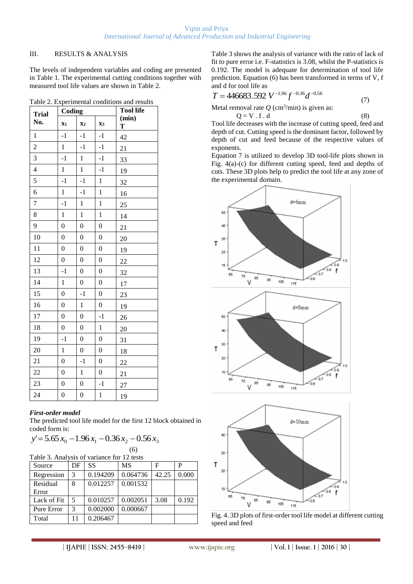### III. RESULTS & ANALYSIS

The levels of independent variables and coding are presented in Table 1. The experimental cutting conditions together with measured tool life values are shown in Table 2.

| <b>Trial</b><br>No. | Coding                    |                  |                  | <b>Tool life</b> |  |
|---------------------|---------------------------|------------------|------------------|------------------|--|
|                     | $\mathbf{X}$ <sup>1</sup> | X <sub>2</sub>   | X3               | (min)<br>T       |  |
| $\mathbf{1}$        | $-1$                      | $-1$             | $-1$             | 42               |  |
| $\overline{2}$      | $\mathbf{1}$              | $-1$             | $-1$             | 21               |  |
| $\overline{3}$      | $-1$                      | $\mathbf{1}$     | $-1$             | 33               |  |
| $\overline{4}$      | $\mathbf{1}$              | $\mathbf{1}$     | $-1$             | 19               |  |
| 5                   | $-1$                      | $-1$             | $\mathbf{1}$     | 32               |  |
| 6                   | $\mathbf{1}$              | $-1$             | $\mathbf{1}$     | 16               |  |
| $\overline{7}$      | $-1$                      | $\mathbf{1}$     | $\mathbf{1}$     | 25               |  |
| 8                   | $\mathbf{1}$              | $\mathbf{1}$     | $\mathbf{1}$     | 14               |  |
| 9                   | $\boldsymbol{0}$          | $\boldsymbol{0}$ | $\overline{0}$   | 21               |  |
| 10                  | $\boldsymbol{0}$          | $\boldsymbol{0}$ | $\boldsymbol{0}$ | 20               |  |
| 11                  | $\overline{0}$            | 0                | $\boldsymbol{0}$ | 19               |  |
| 12                  | 0                         | $\boldsymbol{0}$ | $\boldsymbol{0}$ | 22               |  |
| 13                  | $-1$                      | $\boldsymbol{0}$ | $\boldsymbol{0}$ | 32               |  |
| 14                  | $\mathbf{1}$              | $\overline{0}$   | $\boldsymbol{0}$ | 17               |  |
| 15                  | $\boldsymbol{0}$          | $-1$             | $\boldsymbol{0}$ | 23               |  |
| 16                  | $\boldsymbol{0}$          | $\mathbf{1}$     | $\boldsymbol{0}$ | 19               |  |
| 17                  | $\overline{0}$            | $\overline{0}$   | $-1$             | 26               |  |
| 18                  | 0                         | $\boldsymbol{0}$ | $\mathbf{1}$     | 20               |  |
| 19                  | $-1$                      | $\boldsymbol{0}$ | $\boldsymbol{0}$ | 31               |  |
| 20                  | $\mathbf{1}$              | 0                | $\boldsymbol{0}$ | 18               |  |
| 21                  | $\boldsymbol{0}$          | $-1$             | $\boldsymbol{0}$ | 22               |  |
| 22                  | $\boldsymbol{0}$          | 1                | 0                | 21               |  |
| 23                  | $\overline{0}$            | $\overline{0}$   | $-1$             | 27               |  |
| 24                  | $\overline{0}$            | $\boldsymbol{0}$ | $\mathbf{1}$     | 19               |  |

Table 2. Experimental conditions and results

#### *First***-***order model*

The predicted tool life model for the first 12 block obtained in coded form is:

$$
y' = 5.65 x_0 - 1.96 x_1 - 0.36 x_2 - 0.56 x_3
$$

(6) Table 3. Analysis of variance for 12 tests

| Source      | DF | SS       | <b>MS</b> | F     | P     |
|-------------|----|----------|-----------|-------|-------|
| Regression  | 3  | 0.194209 | 0.064736  | 42.25 | 0.000 |
| Residual    | 8  | 0.012257 | 0.001532  |       |       |
| Error       |    |          |           |       |       |
| Lack of Fit | 5  | 0.010257 | 0.002051  | 3.08  | 0.192 |
| Pure Error  | 3  | 0.002000 | 0.000667  |       |       |
| Total       | 11 | 0.206467 |           |       |       |

Table 3 shows the analysis of variance with the ratio of lack of fit to pure error i.e. F-statistics is 3.08, whilst the P-statistics is 0.192. The model is adequate for determination of tool life prediction. Equation (6) has been transformed in terms of V, f and d for tool life as

$$
T = 446683.592 \, V^{-1.96} f^{-0.36} d^{-0.56} \tag{7}
$$

Metal removal rate  $Q$  (cm<sup>3</sup>/min) is given as:  $Q = V \cdot f \cdot d$  (8)

Tool life decreases with the increase of cutting speed, feed and depth of cut. Cutting speed is the dominant factor, followed by depth of cut and feed because of the respective values of exponents.

Equation 7 is utilized to develop 3D tool-life plots shown in Fig. 4(a)-(c) for different cutting speed, feed and depths of cuts. These 3D plots help to predict the tool life at any zone of the experimental domain.



Fig. 4. 3D plots of first-order tool life model at different cutting speed and feed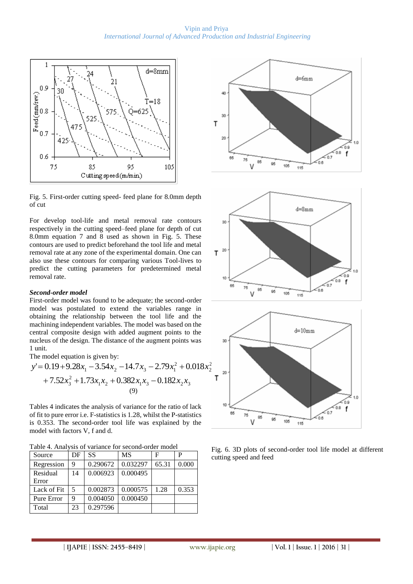

Fig. 5. First-order cutting speed- feed plane for 8.0mm depth of cut

For develop tool-life and metal removal rate contours respectively in the cutting speed–feed plane for depth of cut 8.0mm equation 7 and 8 used as shown in Fig. 5. These contours are used to predict beforehand the tool life and metal removal rate at any zone of the experimental domain. One can also use these contours for comparing various Tool-lives to predict the cutting parameters for predetermined metal removal rate.

## *Second***-***order model*

First-order model was found to be adequate; the second-order model was postulated to extend the variables range in obtaining the relationship between the tool life and the machining independent variables. The model was based on the central composite design with added augment points to the nucleus of the design. The distance of the augment points was 1 unit.

The model equation is given by:

$$
y'=0.19+9.28x_1-3.54x_2-14.7x_3-2.79x_1^2+0.018x_2^2
$$
  
+7.52x<sub>3</sub><sup>2</sup>+1.73x<sub>1</sub>x<sub>2</sub>+0.382x<sub>1</sub>x<sub>3</sub>-0.182x<sub>2</sub>x<sub>3</sub>  
(9)

Tables 4 indicates the analysis of variance for the ratio of lack of fit to pure error i.e. F-statistics is 1.28, whilst the P-statistics is 0.353. The second-order tool life was explained by the model with factors V, f and d.

Table 4. Analysis of variance for second-order model

| Source      | DF | SS       | <b>MS</b> | F     | P     |
|-------------|----|----------|-----------|-------|-------|
| Regression  | 9  | 0.290672 | 0.032297  | 65.31 | 0.000 |
| Residual    | 14 | 0.006923 | 0.000495  |       |       |
| Error       |    |          |           |       |       |
| Lack of Fit | 5  | 0.002873 | 0.000575  | 1.28  | 0.353 |
| Pure Error  | 9  | 0.004050 | 0.000450  |       |       |
| Total       | 23 | 0.297596 |           |       |       |



Fig. 6. 3D plots of second-order tool life model at different cutting speed and feed

10

76  $85$ 

V

QA

106  $145$